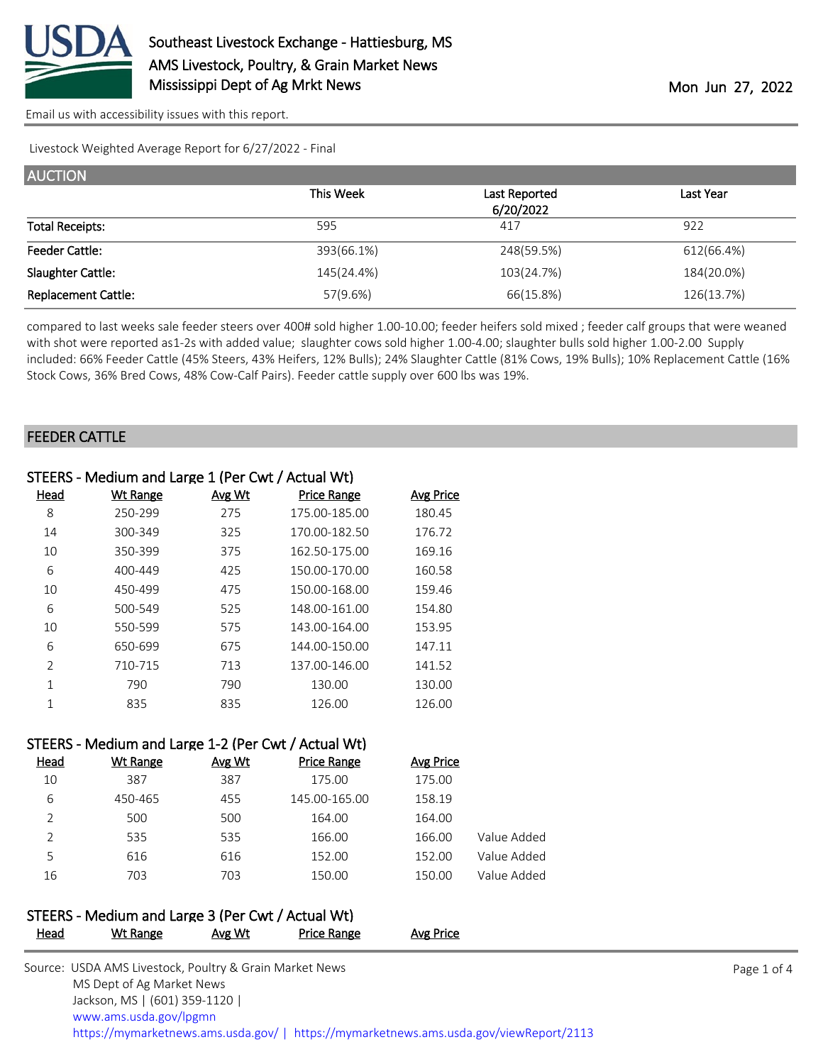

Livestock Weighted Average Report for 6/27/2022 - Final

| <b>AUCTION</b>             |            |               |            |  |  |
|----------------------------|------------|---------------|------------|--|--|
|                            | This Week  | Last Reported | Last Year  |  |  |
|                            |            | 6/20/2022     |            |  |  |
| <b>Total Receipts:</b>     | 595        | 417           | 922        |  |  |
| <b>Feeder Cattle:</b>      | 393(66.1%) | 248(59.5%)    | 612(66.4%) |  |  |
| Slaughter Cattle:          | 145(24.4%) | 103(24.7%)    | 184(20.0%) |  |  |
| <b>Replacement Cattle:</b> | 57(9.6%)   | 66(15.8%)     | 126(13.7%) |  |  |

compared to last weeks sale feeder steers over 400# sold higher 1.00-10.00; feeder heifers sold mixed ; feeder calf groups that were weaned with shot were reported as1-2s with added value; slaughter cows sold higher 1.00-4.00; slaughter bulls sold higher 1.00-2.00 Supply included: 66% Feeder Cattle (45% Steers, 43% Heifers, 12% Bulls); 24% Slaughter Cattle (81% Cows, 19% Bulls); 10% Replacement Cattle (16% Stock Cows, 36% Bred Cows, 48% Cow-Calf Pairs). Feeder cattle supply over 600 lbs was 19%.

### FEEDER CATTLE

|                | STEERS - Medium and Large 1 (Per Cwt / Actual Wt) |        |                    |                  |
|----------------|---------------------------------------------------|--------|--------------------|------------------|
| Head           | <b>Wt Range</b>                                   | Avg Wt | <b>Price Range</b> | <b>Avg Price</b> |
| 8              | 250-299                                           | 275    | 175.00-185.00      | 180.45           |
| 14             | 300-349                                           | 325    | 170.00-182.50      | 176.72           |
| 10             | 350-399                                           | 375    | 162.50-175.00      | 169.16           |
| 6              | 400-449                                           | 425    | 150.00-170.00      | 160.58           |
| 10             | 450-499                                           | 475    | 150.00-168.00      | 159.46           |
| 6              | 500-549                                           | 525    | 148.00-161.00      | 154.80           |
| 10             | 550-599                                           | 575    | 143.00-164.00      | 153.95           |
| 6              | 650-699                                           | 675    | 144.00-150.00      | 147.11           |
| $\mathfrak{D}$ | 710-715                                           | 713    | 137.00-146.00      | 141.52           |
| 1              | 790                                               | 790    | 130.00             | 130.00           |
|                | 835                                               | 835    | 126.00             | 126.00           |

### STEERS - Medium and Large 1-2 (Per Cwt / Actual Wt)

| <b>Wt Range</b> | Avg Wt | <b>Price Range</b> | Avg Price |             |
|-----------------|--------|--------------------|-----------|-------------|
| 387             | 387    | 175.00             | 175.00    |             |
| 450-465         | 455    | 145.00-165.00      | 158.19    |             |
| 500             | 500    | 164.00             | 164.00    |             |
| 535             | 535    | 166.00             | 166.00    | Value Added |
| 616             | 616    | 152.00             | 152.00    | Value Added |
| 703             | 703    | 150.00             | 150.00    | Value Added |
|                 |        |                    |           |             |

#### STEERS - Medium and Large 3 (Per Cwt / Actual Wt) Head Wt Range Avg Wt Price Range Avg Price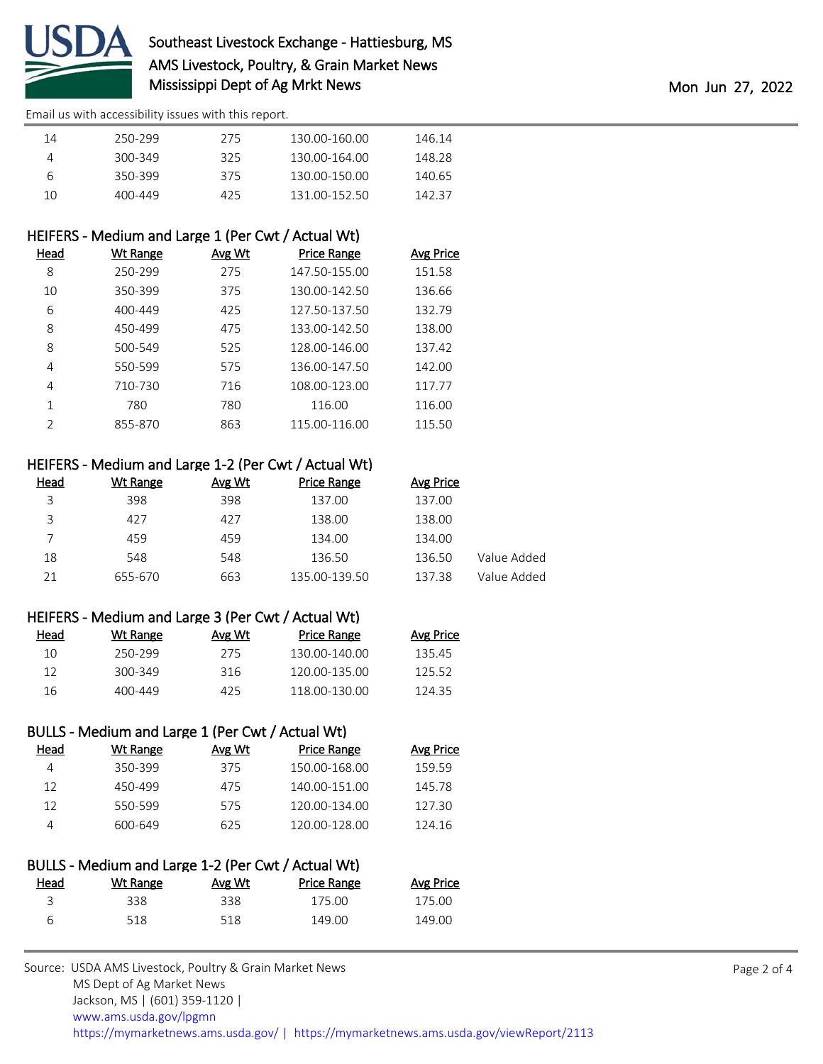

| 14 | 250-299 | 275  | 130.00-160.00 | 146.14 |
|----|---------|------|---------------|--------|
|    | 300-349 | 325  | 130.00-164.00 | 148 28 |
| h  | 350-399 | 375  | 130.00-150.00 | 140.65 |
| 10 | 400-449 | 425. | 131 00-152 50 | 142 37 |

## HEIFERS - Medium and Large 1 (Per Cwt / Actual Wt)

| Head          | Wt Range | Avg Wt | <b>Price Range</b> | <b>Avg Price</b> |
|---------------|----------|--------|--------------------|------------------|
| 8             | 250-299  | 275    | 147.50-155.00      | 151.58           |
| 10            | 350-399  | 375    | 130.00-142.50      | 136.66           |
| 6             | 400-449  | 425    | 127.50-137.50      | 132.79           |
| 8             | 450-499  | 475    | 133.00-142.50      | 138.00           |
| 8             | 500-549  | 525    | 128.00-146.00      | 137.42           |
| 4             | 550-599  | 575    | 136.00-147.50      | 142.00           |
| 4             | 710-730  | 716    | 108.00-123.00      | 117.77           |
|               | 780      | 780    | 116.00             | 116.00           |
| $\mathcal{P}$ | 855-870  | 863    | 115.00-116.00      | 115.50           |

### HEIFERS - Medium and Large 1-2 (Per Cwt / Actual Wt)

| Head | Wt Range | Avg Wt | <b>Price Range</b> | Avg Price |             |
|------|----------|--------|--------------------|-----------|-------------|
| 3    | 398      | 398    | 137.00             | 137.00    |             |
| 3    | 427      | 427    | 138.00             | 138.00    |             |
|      | 459      | 459    | 134.00             | 134.00    |             |
| 18   | 548      | 548    | 136.50             | 136.50    | Value Added |
| 21   | 655-670  | 663    | 135.00-139.50      | 137.38    | Value Added |

### HEIFERS - Medium and Large 3 (Per Cwt / Actual Wt)

| Head | Wt Range | Avg Wt | Price Range   | <b>Avg Price</b> |
|------|----------|--------|---------------|------------------|
| 10   | 250-299  | 275    | 130 00-140 00 | 135.45           |
| 12   | 300-349  | 316    | 120.00-135.00 | 125.52           |
| 16.  | 400-449  | 425    | 118 00-130 00 | 12435            |

# BULLS - Medium and Large 1 (Per Cwt / Actual Wt)

| <b>Avg Price</b> |
|------------------|
| 15959            |
| 145.78           |
| 127.30           |
| 124.16           |
|                  |

### BULLS - Medium and Large 1-2 (Per Cwt / Actual Wt) Head Wt Range Avg Wt Price Range Avg Price 3 338 338 175.00 175.00 6 518 518 149.00 149.00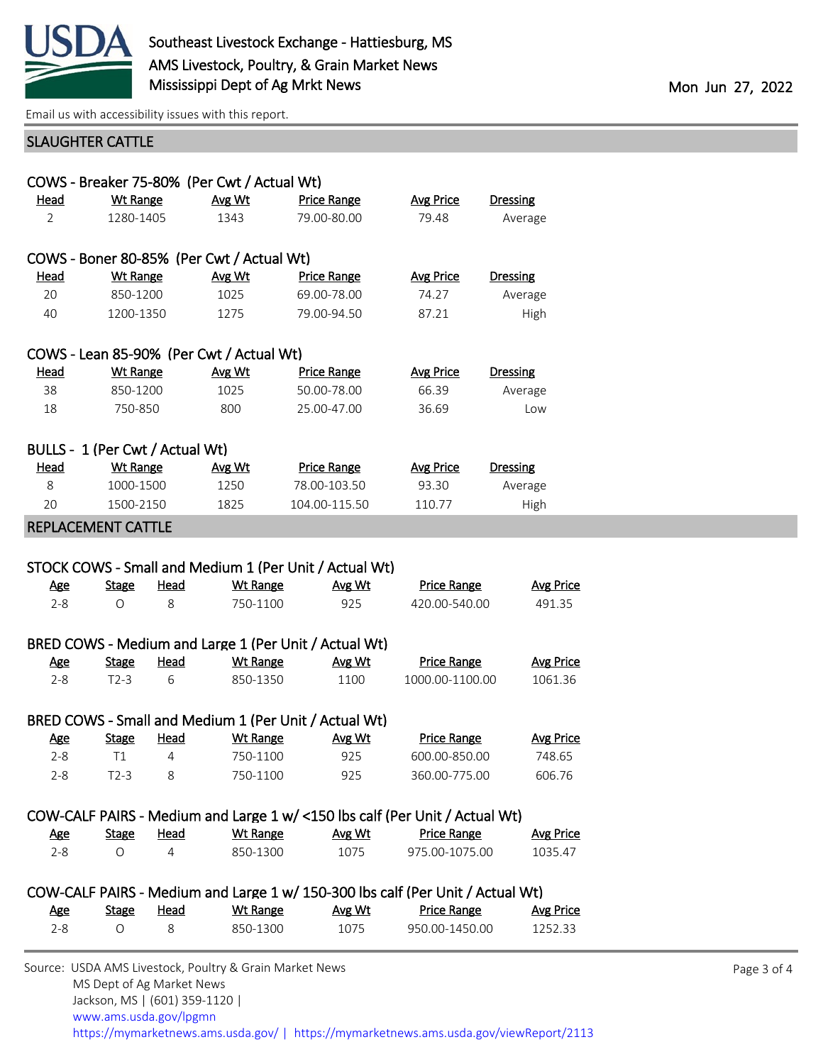

## SLAUGHTER CATTLE

| COWS - Breaker 75-80% (Per Cwt / Actual Wt) |                                 |                |                                           |                                                                                |                    |                  |
|---------------------------------------------|---------------------------------|----------------|-------------------------------------------|--------------------------------------------------------------------------------|--------------------|------------------|
| <b>Head</b>                                 | <b>Wt Range</b>                 |                | Avg Wt                                    | <b>Price Range</b>                                                             | <b>Avg Price</b>   | <b>Dressing</b>  |
| $\overline{2}$                              | 1280-1405                       |                | 1343                                      | 79.00-80.00                                                                    | 79.48              | Average          |
|                                             |                                 |                | COWS - Boner 80-85% (Per Cwt / Actual Wt) |                                                                                |                    |                  |
| <u>Head</u>                                 | <b>Wt Range</b>                 |                | Avg Wt                                    | <b>Price Range</b>                                                             | <b>Avg Price</b>   | <b>Dressing</b>  |
| 20                                          | 850-1200                        |                | 1025                                      | 69.00-78.00                                                                    | 74.27              | Average          |
| 40                                          | 1200-1350                       |                | 1275                                      | 79.00-94.50                                                                    | 87.21              | High             |
|                                             |                                 |                | COWS - Lean 85-90% (Per Cwt / Actual Wt)  |                                                                                |                    |                  |
| Head                                        | <b>Wt Range</b>                 |                | Avg Wt                                    | <b>Price Range</b>                                                             | <b>Avg Price</b>   | <b>Dressing</b>  |
| 38                                          | 850-1200                        |                | 1025                                      | 50.00-78.00                                                                    | 66.39              | Average          |
| 18                                          | 750-850                         |                | 800                                       | 25.00-47.00                                                                    | 36.69              | Low              |
|                                             | BULLS - 1 (Per Cwt / Actual Wt) |                |                                           |                                                                                |                    |                  |
| <u>Head</u>                                 | <b>Wt Range</b>                 |                | Avg Wt                                    | <b>Price Range</b>                                                             | <b>Avg Price</b>   | <b>Dressing</b>  |
| 8                                           | 1000-1500                       |                | 1250                                      | 78.00-103.50                                                                   | 93.30              | Average          |
| 20                                          | 1500-2150                       |                | 1825                                      | 104.00-115.50                                                                  | 110.77             | High             |
|                                             |                                 |                |                                           |                                                                                |                    |                  |
| <u>Age</u>                                  | <b>Stage</b>                    | Head           | <b>Wt Range</b>                           | STOCK COWS - Small and Medium 1 (Per Unit / Actual Wt)<br>Avg Wt               | <b>Price Range</b> | <b>Avg Price</b> |
| REPLACEMENT CATTLE<br>$2 - 8$               | O                               | 8              | 750-1100                                  | 925                                                                            | 420.00-540.00      | 491.35           |
|                                             |                                 |                |                                           | BRED COWS - Medium and Large 1 (Per Unit / Actual Wt)                          |                    |                  |
| <u>Age</u>                                  | <b>Stage</b>                    | <u>Head</u>    | <b>Wt Range</b>                           | Avg Wt                                                                         | <b>Price Range</b> | <b>Avg Price</b> |
| $2 - 8$                                     | $T2-3$                          | 6              | 850-1350                                  | 1100                                                                           | 1000.00-1100.00    | 1061.36          |
|                                             |                                 |                |                                           | BRED COWS - Small and Medium 1 (Per Unit / Actual Wt)                          |                    |                  |
| <u>Age</u>                                  | <b>Stage</b>                    | Head           | <b>Wt Range</b>                           | Avg Wt                                                                         | <b>Price Range</b> | <b>Avg Price</b> |
| $2 - 8$                                     | T1                              | 4              | 750-1100                                  | 925                                                                            | 600.00-850.00      | 748.65           |
| $2 - 8$                                     | $T2-3$                          | 8              | 750-1100                                  | 925                                                                            | 360.00-775.00      | 606.76           |
|                                             |                                 |                |                                           | COW-CALF PAIRS - Medium and Large 1 w/ <150 lbs calf (Per Unit / Actual Wt)    |                    |                  |
| <u>Age</u>                                  | <b>Stage</b>                    | <b>Head</b>    | <b>Wt Range</b>                           | Avg Wt                                                                         | <b>Price Range</b> | <b>Avg Price</b> |
| $2 - 8$                                     | $\circ$                         | $\overline{4}$ | 850-1300                                  | 1075                                                                           | 975.00-1075.00     | 1035.47          |
|                                             |                                 |                |                                           | COW-CALF PAIRS - Medium and Large 1 w/ 150-300 lbs calf (Per Unit / Actual Wt) |                    |                  |
| <u>Age</u>                                  | <b>Stage</b>                    | <b>Head</b>    | <b>Wt Range</b>                           | Avg Wt                                                                         | <b>Price Range</b> | <b>Avg Price</b> |